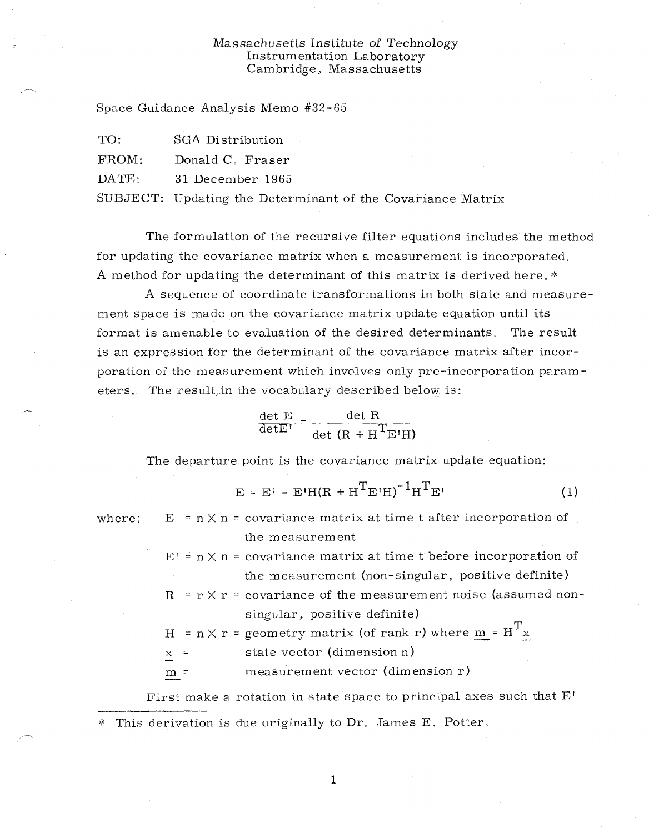## Massachusetts Institute *of* Technology Instrumentation Laboratory Cambridge, Massachusetts

Space Guidance Analysis Memo #32-65

| TO:             | SGA Distribution |
|-----------------|------------------|
| $\text{FROM}:$  | Donald C. Fraser |
| $\text{DATA}$ : | 31 December 1965 |
|                 |                  |

SUBJECT: Updating the Determinant of the Covariance Matrix

The formulation of the recursive filter equations includes the method for updating the covariance matrix when a measurement is incorporated. A method for updating the determinant of this matrix is derived here.  $*$ 

A sequence of coordinate transformations in both state and measurement space is made on the covariance matrix update equation until its format is amenable to evaluation of the desired determinants. The result is an expression for the determinant of the covariance matrix after incorporation of the measurement which involves only pre-incorporation parameters. The result in the vocabulary described below is:

$$
\frac{\det E}{\det E'} = \frac{\det R}{\det (R + H^{T}E'H)}
$$

The departure point is the covariance matrix update equation:

$$
E = E^{\dagger} - E^{\dagger}H(R + H^{T}E^{\dagger}H)^{-1}H^{T}E^{\dagger}
$$
 (1)

where:  $E = n \times n = covariance$  matrix at time t after incorporation of the measurement

> $E' = n \times n$  = covariance matrix at time t before incorporation of the measurement (non-singular, positive definite)

> $R = r \times r =$  covariance of the measurement noise (assumed nonsingular, positive definite)

H =  $n \times r$  = geometry matrix (of rank r) where <u>m</u> =  $H<sup>T</sup>x$ 

 $x =$  state vector (dimension n)

 $m =$  measurement vector (dimension r)

First make a rotation in state space to principal axes such that E'  $*$  This derivation is due originally to Dr. James E. Potter,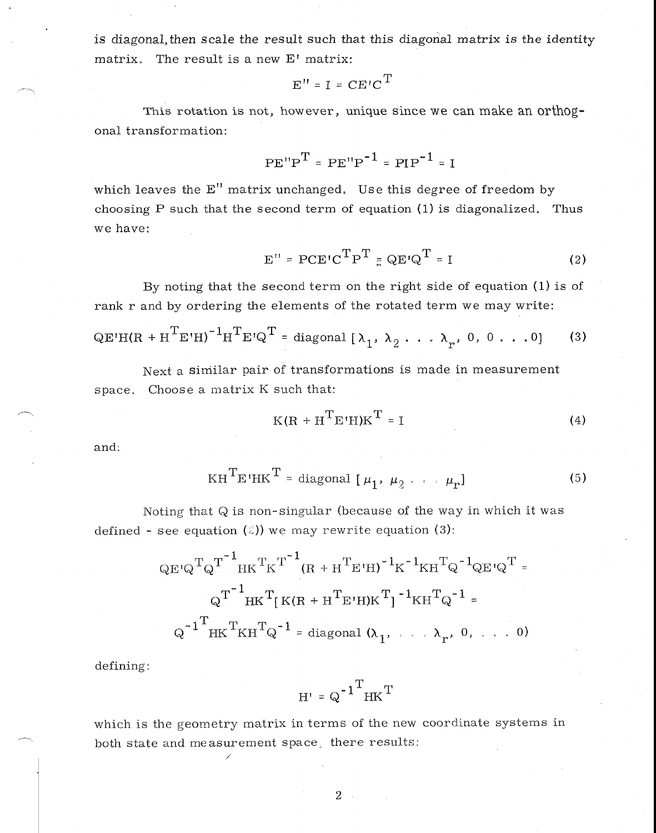is diagonal, then scale the result such that this diagonal matrix is the identity matrix. The result is a new  $E'$  matrix:

$$
E'' = I = CE'C^{T}
$$

This rotation is not, however, unique since we can make an orthogonal transformation:

$$
PE''P^{T} = PE''P^{-1} = PIP^{-1} = I
$$

which leaves the E" matrix unchanged. Use this degree of freedom by choosing P such that the second term of equation (1) is diagonalized. Thus we have:

$$
E'' = PCE'CTPT = QE'QT = I
$$
 (2)

By noting that the second term on the right side of equation (1) is of rank r and by ordering the elements of the rotated term we may write:

$$
QE' H (R + HTE'H)-1HTE'QT = diagonal [\lambda1, \lambda2 ... \lambdar, 0, 0 ... 0]
$$
 (3)

Next a similar pair of transformations is made in measurement space. Choose a matrix K such that:

$$
K(R + HTE'H)KT = I
$$
 (4)

and:

$$
KHTETHKT = diagonal [  $\mu_1, \mu_2 \cdots \mu_r$  ] (5)
$$

Noting that Q is non-singular (because of the way in which it was defined – see equation (2)) we may rewrite equation (3):

being that Q is non-singular (because of the way in which is see equation (2)) we may rewrite equation (3):

\n
$$
QE^{i}Q^{T}Q^{T}^{\dagger}HK^{T}K^{T}^{1}(R + H^{T}E^{i}H)^{-1}K^{-1}KH^{T}Q^{-1}QE^{i}Q^{T} =
$$
\n
$$
Q^{T}^{\dagger}HK^{T}[K(R + H^{T}E^{i}H)K^{T}]^{-1}KH^{T}Q^{-1} =
$$
\n
$$
Q^{-1}^{\dagger}HK^{T}KH^{T}Q^{-1} = \text{diagonal } (\lambda_{1}, \ldots, \lambda_{r}, 0, \ldots, 0)
$$

defining:

$$
H' = Q^{-1}^T H K^T
$$

which is the geometry matrix in terms of the new coordinate systems in both state and measurement space, there results: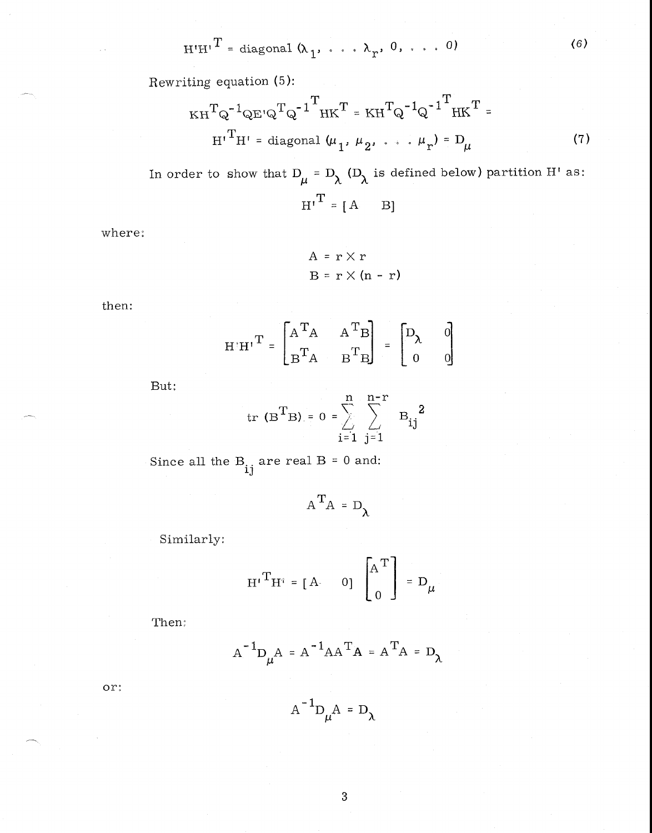$$
H'H^T = \text{diagonal } (\lambda_1, \ldots, \lambda_r, 0, \ldots, 0)
$$
 (6)

Rewriting equation (5):

$$
KH^{T}Q^{-1}QE^{i}Q^{T}Q^{-1}^{T}HK^{T} = KH^{T}Q^{-1}Q^{-1}^{T}HK^{T} = H^{T}H^{T}H^{T} =
$$
  

$$
H^{T}H^{T} = \text{diagonal } (\mu_{1}, \mu_{2}, \dots, \mu_{r}) = D_{\mu}
$$
 (7)

In order to show that  $D_\mu = D_\lambda$  ( $D_\lambda$  is defined below) partition H' as:  $\operatorname{H^1}^{\operatorname{T}} = [\begin{array}{ccc} \operatorname{A} & & \operatorname{B} \end{array}]$ 

where:

$$
A = r \times r
$$
  

$$
B = r \times (n - r)
$$

then:

$$
\mathbf{H}^{\top}\mathbf{H}^{\top}\mathbf{T} = \begin{bmatrix} \mathbf{A}^{\mathbf{T}}\mathbf{A} & \mathbf{A}^{\mathbf{T}}\mathbf{B} \\ \mathbf{B}^{\mathbf{T}}\mathbf{A} & \mathbf{B}^{\mathbf{T}}\mathbf{B} \end{bmatrix} = \begin{bmatrix} \mathbf{D}_{\lambda} & 0 \\ 0 & 0 \end{bmatrix}
$$

But:

$$
tr(B^TB) = 0 = \sum_{i=1}^{n} \sum_{j=1}^{n-r} B_{ij}^2
$$

Since all the  $\mathbf{B}_{\mathbf{i}\mathbf{j}}$  are real B = 0 and:

$$
A^T A = D_\lambda
$$

Similarly:

$$
\mathbf{H} \mathbf{H}^{\dagger} = \begin{bmatrix} \mathbf{A} & 0 \end{bmatrix} \begin{bmatrix} \mathbf{A}^{\mathrm{T}} \\ \mathbf{0} \end{bmatrix} = \mathbf{D}_{\mu}.
$$

Then:  $\,$ 

$$
A^{-1}D_{\mu}A = A^{-1}AA^{T}A = A^{T}A = D_{\lambda}
$$

 $or:$ 

 $A^{-1}D_\mu A = D_\lambda$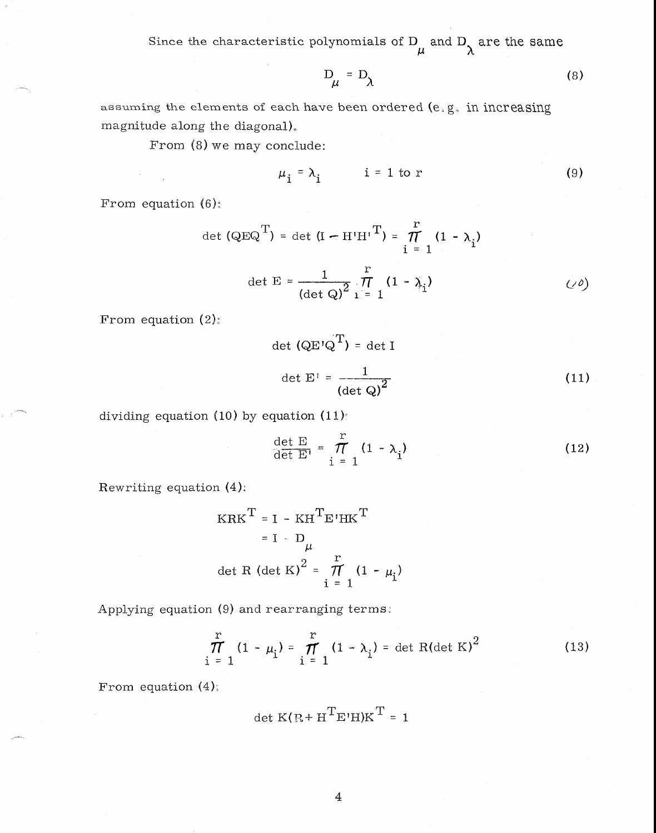Since the characteristic polynomials of D<sub> $\mu$ </sub> and D<sub> $\lambda$ </sub> are the same

$$
D_{\mu} = D_{\lambda} \tag{8}
$$

assuming the elements of each have been ordered  $(e, g, in increasing)$ magnitude along the diagonal),

From (8) we may conclude:

$$
\mu_{i} = \lambda_{i} \qquad i = 1 \text{ to } r \qquad (9)
$$

From equation (6)

$$
\det (\text{QEQ}^T) = \det (I - H'H'I^T) = \frac{r}{1 - 1} (1 - \lambda_i)
$$
  

$$
\det E = \frac{1}{(\det Q)^2} \prod_{i=1}^r (1 - \lambda_i)
$$
 (20)

From equation (2):

$$
\det (\mathbf{Q} \mathbf{E}^{\dagger} \mathbf{Q}^{\mathbf{T}}) = \det \mathbf{I}
$$
  
det  $\mathbf{E}^{\dagger} = \frac{1}{(\det \mathbf{Q})^2}$  (11)

dividing equation (10) by equation (11):

$$
\frac{\det E}{\det E'} = \frac{r}{1 - 1} (1 - \lambda_i)
$$
 (12)

Rewriting equation (4):

$$
KRKT = I - KHTE'HKT
$$
  
= I - D<sub>µ</sub>  
det R (det K)<sup>2</sup> =  $\frac{r}{\pi}$  (1 -  $\mu_i$ )

Applying equation (9) and rearranging terms:

$$
\prod_{i=1}^{r} (1 - \mu_i) = \prod_{i=1}^{r} (1 - \lambda_i) = \det R(\det K)^2
$$
 (13)

From equation  $(4)$ :

$$
\det K(R + H^{T}E^{t}H)K^{T} = 1
$$